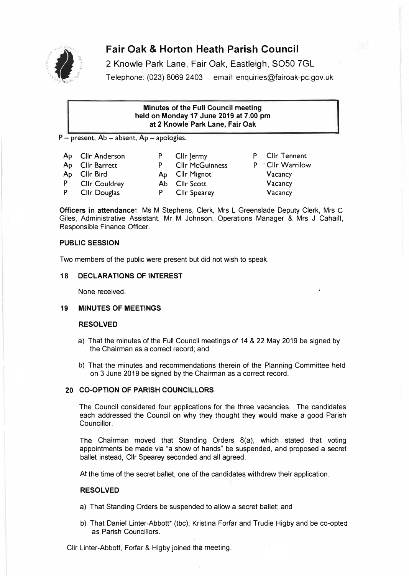

# **Fair Oak & Horton Heath Parish Council**<br>2 Knowle Park Lane, Fair Oak, Eastleigh, SO50 7<br>Telephone: (023) 8069 2403 email: enquiries@fairoak-

2 Knowle Park Lane, Fair Oak, Eastleigh, SO50 7GL

Telephone: (023) 8069 2403 email: enquiries@fairoak-pc.gov.uk

# **Minutes of the Full Council meeting held on Monday 17 June 2019 at 7 .00 pm**  at 2 Knowle **Park** Lane, Fair Oak

 $P$  – present,  $Ab$  – absent,  $Ap$  – apologies.

| Ap Cllr Anderson | P Cllr Jermy           | P Cllr Tennent  |
|------------------|------------------------|-----------------|
| Ap Cllr Barrett  | <b>Cllr McGuinness</b> | P Cllr Warrilow |
| Ap Cllr Bird     | Ap Cllr Mignot         | Vacancy         |
| P Cllr Couldrey  | Ab Cllr Scott          | Vacancy         |
| P Cllr Douglas   | P Cllr Spearey         | Vacancy         |

**Officers in attendance:** Ms M Stephens, Clerk, Mrs L Greenslade Deputy Clerk, Mrs C Giles, Administrative Assistant, Mr M Johnson, Operations Manager & Mrs J Cahaill, Responsible Finance Officer.

# **PUBLIC SESSION**

Two members of the public were present but did not wish to speak.

# **18 DECLARATIONS OF INTEREST**

None received.

# **19 MINUTES OF MEETINGS**

# **RESOLVED**

- a) That the minutes of the Full Council meetings of 14 & 22 May 2019 be signed by the Chairman as a correct record; and
- b) That the minutes and recommendations therein of the Planning Committee held on 3 June 2019 be signed by the Chairman as a correct record.

# **20 CO-OPTION OF PARISH COUNCILLORS**

The Council considered four applications for the three vacancies. The candidates each addressed the Council on why they thought they would make a good Parish Councillor.

The Chairman moved that Standing Orders 8(a), which stated that voting appointments be made via "a show of hands" be suspended, and proposed a secret ballet instead, Cllr Spearey seconded and all agreed.

At the time of the secret ballet, one of the candidates withdrew their application.

# **RESOLVED**

- a) That Standing Orders be suspended to allow a secret ballet; and
- b) That Daniel Linter-Abbott\* (tbc), Kristina Forfar and Trudie Higby and be co-opted as Parish Councillors.

Cllr Linter-Abbott, Forfar & Higby joined the meeting.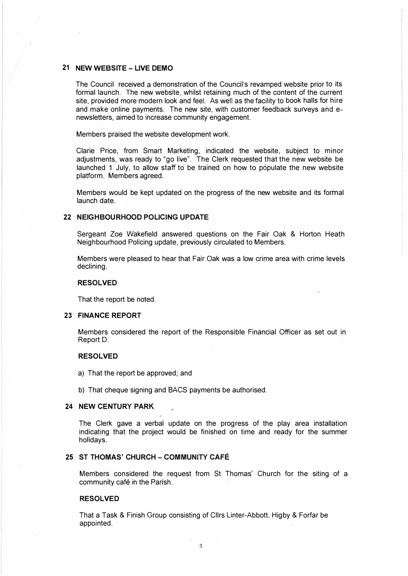# **21 NEW WEBSITE - LIVE DEMO**

The Council received a demonstration of the Council's revamped website prior to its formal launch. The new website, whilst retaining much of the content of the current site, provided more modern look and feel. As well as the facility to book halls for hire and make online payments. The new site, with customer feedback surveys and enewsletters, aimed to increase community engagement.

Members praised the website development work.

Clarie Price, from Smart Marketing, indicated the website, subject to minor adjustments, was ready to "go live". The Clerk requested that the new website be launched 1 July, to allow staff to be trained on how to populate the new website platform. Members agreed.

Members would be kept updated on the progress of the new website and its formal launch date.

#### **22 NEIGHBOURHOOD POLICING UPDATE**

Sergeant Zoe Wakefield answered questions on the Fair Oak & Horton Heath Neighbourhood Policing update, previously circulated to Members.

Members were pleased to hear that Fair Oak was a low crime area with crime levels declining.

# **RESOLVED**

That the report be noted.

# **23 FINANCE REPORT**

Members considered the report of the Responsible Financial Officer as set out in Report D.

# **RESOLVED**

- a) That the report be approved; and
- b) That cheque signing and SACS payments be authorised.

#### **24 NEW CENTURY PARK**

The Clerk gave a verbal update on the progress of the play area installation indicating that the project would be finished on time and ready for the summer holidays.

# **25 ST THOMAS' CHURCH - COMMUNITY CAFE**

Members considered the request from St Thomas' Church for the siting of a community café in the Parish.

#### **RESOLVED**

That a Task & Finish Group consisting of Cllrs Linter-Abbott, Higby & Forfar be appointed.

3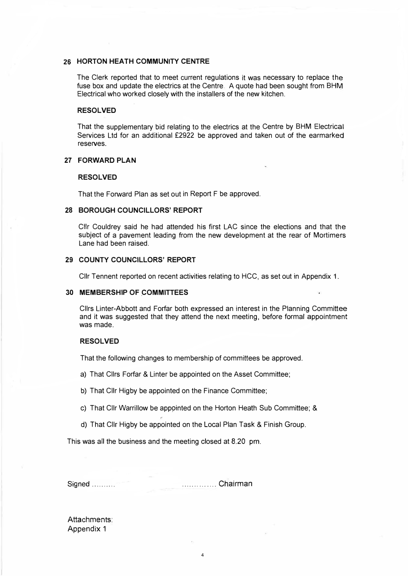#### **26 HORTON HEATH COMMUNITY CENTRE**

The Clerk reported that to meet current regulations it was necessary to replace the fuse box and update the electrics at the Centre. A quote had been sought from BHM Electrical who worked closely with the installers of the new kitchen.

# **RESOLVED**

That the supplementary bid relating to the electrics at the Centre by BHM Electrical Services Ltd for an additional £2922 be approved and taken out of the earmarked reserves.

# **27 FORWARD PLAN**

# **RESOLVED**

That the Forward Plan as set out in Report F be approved.

# **28 BOROUGH COUNCILLORS' REPORT**

Ctlr Couldrey said he had attended his first LAC since the elections and that the subject of a pavement leading from the new development at the rear of Mortimers Lane had been raised.

#### **29 COUNTY COUNCILLORS' REPORT**

Cllr Tennent reported on recent activities relating to HCC, as set out in Appendix 1.

#### **30 MEMBERSHIP OF COMMITTEES**

Cllrs Linter-Abbott and Forfar both expressed an interest in the Planning Committee and it was suggested that they attend the next meeting, before formal appointment was made.

# **RESOLVED**

That the following changes to membership of committees be approved.

a) That Cllrs Forfar & Linter be appointed on the Asset Committee;

b) That Cllr Higby be appointed on the Finance Committee;

c) That Cllr Warrillow be apppinted on the Horton Heath Sub Committee; &

4

d) That Cllr Higby be appointed on the Local Plan Task & Finish Group.

This was all the business and the meeting closed at 8.20 pm.

Signed .......... .............. **Ch.airman**

Attachments: Appendix 1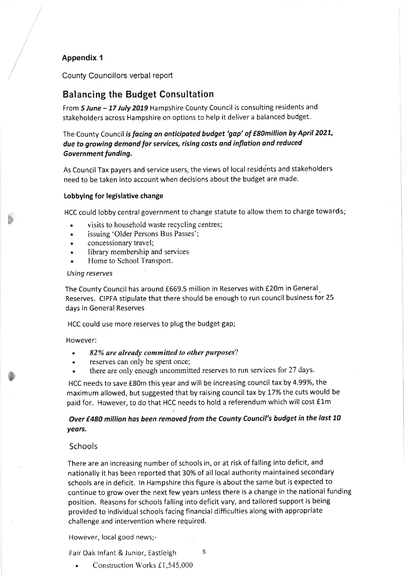# Appendix 1

County Councillors verbal report

# **Balancing the Budget Consultation**

From 5 June - 17 July 2019 Hampshire County Council is consulting residents and stakeholders across Hampshire on options to help it deliver a balanced budget.

The County Council is facing an anticipated budget 'gap' of £80million by April 2021, due to growing demand for services, rising costs and inflation and reduced Government funding.

As Council Tax payers and service users, the views of local residents and stakeholders need to be taken into account when decisions about the budget are made.

#### Lobbying for legislative change

HCC could lobby central government to change statute to allow them to charge towards;

- visits to household waste recycling centres;
- issuing 'Older Persons Bus Passes';  $\bullet$
- concessionary travel;  $\blacksquare$
- library membership and services
- Home to School Transport.

#### **Using reserves**

The County Council has around £669.5 million in Reserves with £20m in General Reserves. CIPFA stipulate that there should be enough to run council business for 25 days in General Reserves

HCC could use more reserves to plug the budget gap;

However:

- 82% are already committed to other purposes?
- reserves can only be spent once;
- there are only enough uncommitted reserves to run services for 27 days.

HCC needs to save £80m this year and will be increasing council tax by 4.99%, the maximum allowed, but suggested that by raising council tax by 17% the cuts would be paid for. However, to do that HCC needs to hold a referendum which will cost £1m

# Over £480 million has been removed from the County Council's budget in the last 10 years.

# Schools

There are an increasing number of schools in, or at risk of falling into deficit, and nationally it has been reported that 30% of all local authority maintained secondary schools are in deficit. In Hampshire this figure is about the same but is expected to continue to grow over the next few years unless there is a change in the national funding position. Reasons for schools falling into deficit vary, and tailored support is being provided to individual schools facing financial difficulties along with appropriate challenge and intervention where required.

However, local good news;-

Fair Oak Infant & Junior, Eastleigh

5

Construction Works £1,545,000